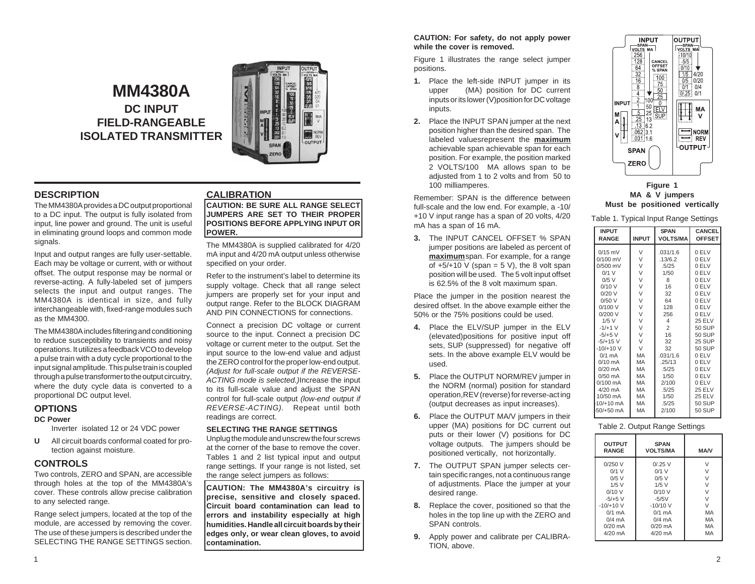# **MM4380A DC INPUT FIELD-RANGEABLE ISOLATED TRANSMITTER**



## **DESCRIPTION**

The MM4380A provides a DC output proportional to a DC input. The output is fully isolated from input, line power and ground. The unit is useful in eliminating ground loops and common mode signals.

Input and output ranges are fully user-settable. Each may be voltage or current, with or without offset. The output response may be normal or reverse-acting. A fully-labeled set of jumpers selects the input and output ranges. The MM4380A is identical in size, and fully interchangeable with, fixed-range modules such as the MM4300.

The MM4380A includes filtering and conditioning to reduce susceptibility to transients and noisy operations. It utilizes a feedback VCO to develop a pulse train with a duty cycle proportional to the input signal amplitude. This pulse train is coupled through a pulse transformer to the output circuitry, where the duty cycle data is converted to a proportional DC output level.

### **OPTIONS**

#### **DC Power**

Inverter isolated 12 or 24 VDC power

**U** All circuit boards conformal coated for protection against moisture.

#### **CONTROLS**

Two controls, ZERO and SPAN, are accessible through holes at the top of the MM4380A's cover. These controls allow precise calibration to any selected range.

Range select jumpers, located at the top of the module, are accessed by removing the cover. The use of these jumpers is described under the SELECTING THE RANGE SETTINGS section.

## **CALIBRATION**

**CAUTION: BE SURE ALL RANGE SELECT JUMPERS ARE SET TO THEIR PROPER POSITIONS BEFORE APPLYING INPUT OR POWER.**

The MM4380A is supplied calibrated for 4/20 mA input and 4/20 mA output unless otherwise specified on your order.

Refer to the instrument's label to determine its supply voltage. Check that all range select jumpers are properly set for your input and output range. Refer to the BLOCK DIAGRAM AND PIN CONNECTIONS for connections.

Connect a precision DC voltage or current source to the input. Connect a precision DC voltage or current meter to the output. Set the input source to the low-end value and adjust the ZERO control for the proper low-end output. *(Adjust for full-scale output if the REVERSE-ACTING mode is selected.)*Increase the input to its full-scale value and adjust the SPAN control for full-scale output *(low-end output if REVERSE-ACTING).* Repeat until both readings are correct.

#### **SELECTING THE RANGE SETTINGS**

Unplug the module and unscrew the four screws at the corner of the base to remove the cover. Tables 1 and 2 list typical input and output range settings. If your range is not listed, set the range select jumpers as follows:

**CAUTION: The MM4380A's circuitry is precise, sensitive and closely spaced. Circuit board contamination can lead to errors and instability especially at high humidities. Handle all circuit boards by their edges only, or wear clean gloves, to avoid contamination.**

#### **CAUTION: For safety, do not apply power while the cover is removed.**

Figure 1 illustrates the range select jumper positions.

- **1.** Place the left-side INPUT jumper in its upper (MA) position for DC current inputs or its lower (V)position for DC voltage inputs.
- **2.** Place the INPUT SPAN jumper at the next position higher than the desired span. The labeled valuesrepresent the **maximum** achievable span achievable span for each position. For example, the position marked 2 VOLTS/100 MA allows span to be adjusted from 1 to 2 volts and from 50 to 100 milliamperes.

Remember: SPAN is the difference between full-scale and the low end. For example, a -10/ +10 V input range has a span of 20 volts, 4/20 mA has a span of 16 mA.

**3.** The INPUT CANCEL OFFSET % SPAN jumper positions are labeled as percent of **maximum**span. For example, for a range of  $+5/+10$  V (span = 5 V), the 8 volt span position will be used. The 5 volt input offset is 62.5% of the 8 volt maximum span.

Place the jumper in the position nearest the desired offset. In the above example either the 50% or the 75% positions could be used.

- **4.** Place the ELV/SUP jumper in the ELV (elevated)positions for positive input off sets, SUP (suppressed) for negative off sets. In the above example ELV would be used.
- **5.** Place the OUTPUT NORM/REV jumper in the NORM (normal) position for standard operation,REV (reverse) for reverse-act ing (output decreases as input increases).
- **6.** Place the OUTPUT MA/V jumpers in their upper (MA) positions for DC current out puts or their lower (V) positions for DC voltage outputs. The jumpers should be positioned vertically, not horizontally.
- **7.** The OUTPUT SPAN jumper selects certain specific ranges, not a continuous range of adjustments. Place the jumper at your desired range.
- **8.** Replace the cover, positioned so that the holes in the top line up with the ZERO and SPAN controls.
- **9.** Apply power and calibrate per CALIBRA-TION, above.



#### **Figure 1 MA & V jumpers Must be positioned vertically**

Table 1. Typical Input Range Settings

| rapio 1. 1 yproar mpat riango ooltingo                                                                                                                                                                                                                                                     |                                                                                                                                            |                                                                                                                                                                                              |                                                                                                                                                                                                                                          |  |  |
|--------------------------------------------------------------------------------------------------------------------------------------------------------------------------------------------------------------------------------------------------------------------------------------------|--------------------------------------------------------------------------------------------------------------------------------------------|----------------------------------------------------------------------------------------------------------------------------------------------------------------------------------------------|------------------------------------------------------------------------------------------------------------------------------------------------------------------------------------------------------------------------------------------|--|--|
| <b>INPUT</b><br><b>RANGE</b>                                                                                                                                                                                                                                                               | <b>INPUT</b>                                                                                                                               | <b>SPAN</b><br><b>VOLTS/MA</b>                                                                                                                                                               | <b>CANCEL</b><br><b>OFFSET</b>                                                                                                                                                                                                           |  |  |
| $0/15$ mV<br>$0/100$ mV<br>$0/500$ mV<br>$0/1$ V<br>$0/5$ V<br>0/10V<br>0/20V<br>0/50V<br>0/100V<br>0/200V<br>$1/5$ V<br>$-1/+1$ V<br>$-5/+5$ V<br>$-5/+15$ V<br>$-10/+10V$<br>$0/1$ mA<br>$0/10$ mA<br>$0/20$ mA<br>$0/50$ mA<br>$0/100 \text{ mA}$<br>$4/20$ mA<br>10/50 mA<br>10/+10 mA | V<br>V<br>V<br>V<br>V<br>V<br>V<br>V<br>V<br>V<br>V<br>V<br>V<br>V<br>$\vee$<br>MA<br>MA<br>MA<br><b>MA</b><br>MA<br><b>MA</b><br>MA<br>MA | .031/1.6<br>.13/6.2<br>.5/25<br>1/50<br>8<br>16<br>32<br>64<br>128<br>256<br>4<br>$\overline{2}$<br>16<br>32<br>32<br>.031/1.6<br>.25/13<br>.5/25<br>1/50<br>2/100<br>.5/25<br>1/50<br>.5/25 | 0 ELV<br>0 ELV<br>0 ELV<br>0 ELV<br>0 ELV<br>0 ELV<br>0 ELV<br>0 ELV<br>0 ELV<br>0 ELV<br><b>25 ELV</b><br>50 SUP<br>50 SUP<br>25 SUP<br>50 SUP<br>0 ELV<br>0 ELV<br>0 ELV<br>0 ELV<br>0 ELV<br><b>25 ELV</b><br><b>25 ELV</b><br>50 SUP |  |  |
| -50/+50 mA                                                                                                                                                                                                                                                                                 | MA                                                                                                                                         | 2/100                                                                                                                                                                                        | <b>50 SUP</b>                                                                                                                                                                                                                            |  |  |
|                                                                                                                                                                                                                                                                                            |                                                                                                                                            |                                                                                                                                                                                              |                                                                                                                                                                                                                                          |  |  |

#### Table 2. Output Range Settings

| <b>OUTPUT</b><br><b>RANGE</b> | <b>SPAN</b><br><b>VOLTS/MA</b> | <b>MA/V</b> |
|-------------------------------|--------------------------------|-------------|
| 0/250V                        | $0/0.25$ V                     | V           |
| $0/1$ V                       | $0/1$ V                        | $\vee$      |
| $0/5$ V                       | $0/5$ V                        | V           |
| $1/5$ V                       | $1/5$ V                        | V           |
| 0/10V                         | $0/10$ V                       | $\vee$      |
| $-5/+5$ V                     | $-5/5V$                        | $\vee$      |
| $-10/+10$ V                   | $-10/10V$                      | V           |
| $0/1$ mA                      | $0/1$ mA                       | MA          |
| $0/4$ mA                      | $0/4$ mA                       | MA          |
| $0/20$ mA                     | $0/20$ mA                      | MA          |
| $4/20$ mA                     | $4/20$ mA                      | MA          |